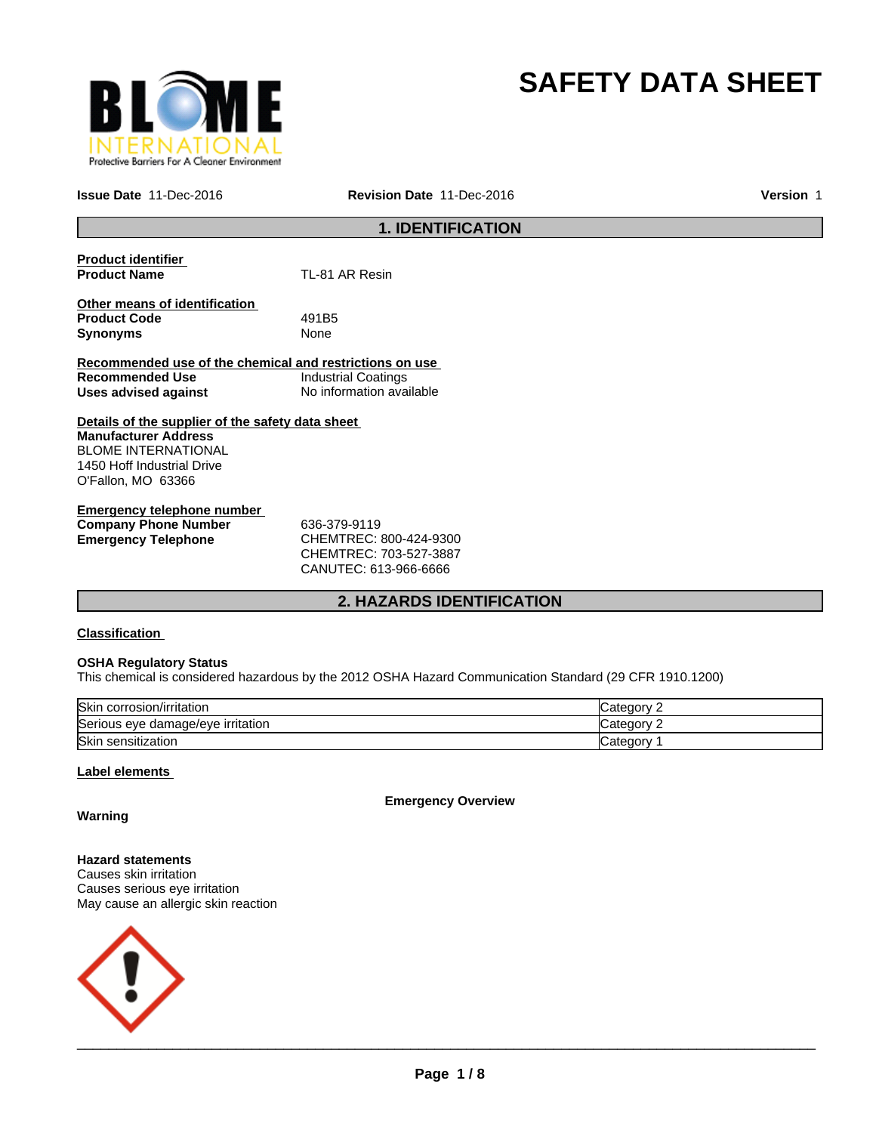

# **SAFETY DATA SHEET**

**Issue Date** 11-Dec-2016 **Revision Date** 11-Dec-2016 **Version** 1

# **1. IDENTIFICATION**

| <b>Product identifier</b>                               |                          |
|---------------------------------------------------------|--------------------------|
| <b>Product Name</b>                                     | TL-81 AR Resin           |
| Other means of identification                           |                          |
| <b>Product Code</b>                                     | 491B <sub>5</sub>        |
| <b>Synonyms</b>                                         | None                     |
|                                                         |                          |
| Recommended use of the chemical and restrictions on use |                          |
| <b>Recommended Use</b>                                  | Industrial Coatings      |
| Uses advised against                                    | No information available |
| Details of the supplier of the safety data sheet        |                          |
| <b>Manufacturer Address</b>                             |                          |
| <b>BLOME INTERNATIONAL</b>                              |                          |
| 1450 Hoff Industrial Drive                              |                          |
| O'Fallon, MO 63366                                      |                          |
| Emergency telephone number                              |                          |

**Company Phone Number 636-379-9119<br>
<b>Emergency Telephone CHEMTREC:** 

**Emergency Telephone** CHEMTREC: 800-424-9300 CHEMTREC: 703-527-3887 CANUTEC: 613-966-6666

# **2. HAZARDS IDENTIFICATION**

# **Classification**

### **OSHA Regulatory Status**

This chemical is considered hazardous by the 2012 OSHA Hazard Communication Standard (29 CFR 1910.1200)

| Skin corrosion/irritation         | Category |
|-----------------------------------|----------|
| Serious eye damage/eye irritation | ategory. |
| Skin sensitization                | Category |

### **Label elements**

**Emergency Overview**

**Warning**

**Hazard statements** Causes skin irritation Causes serious eye irritation May cause an allergic skin reaction

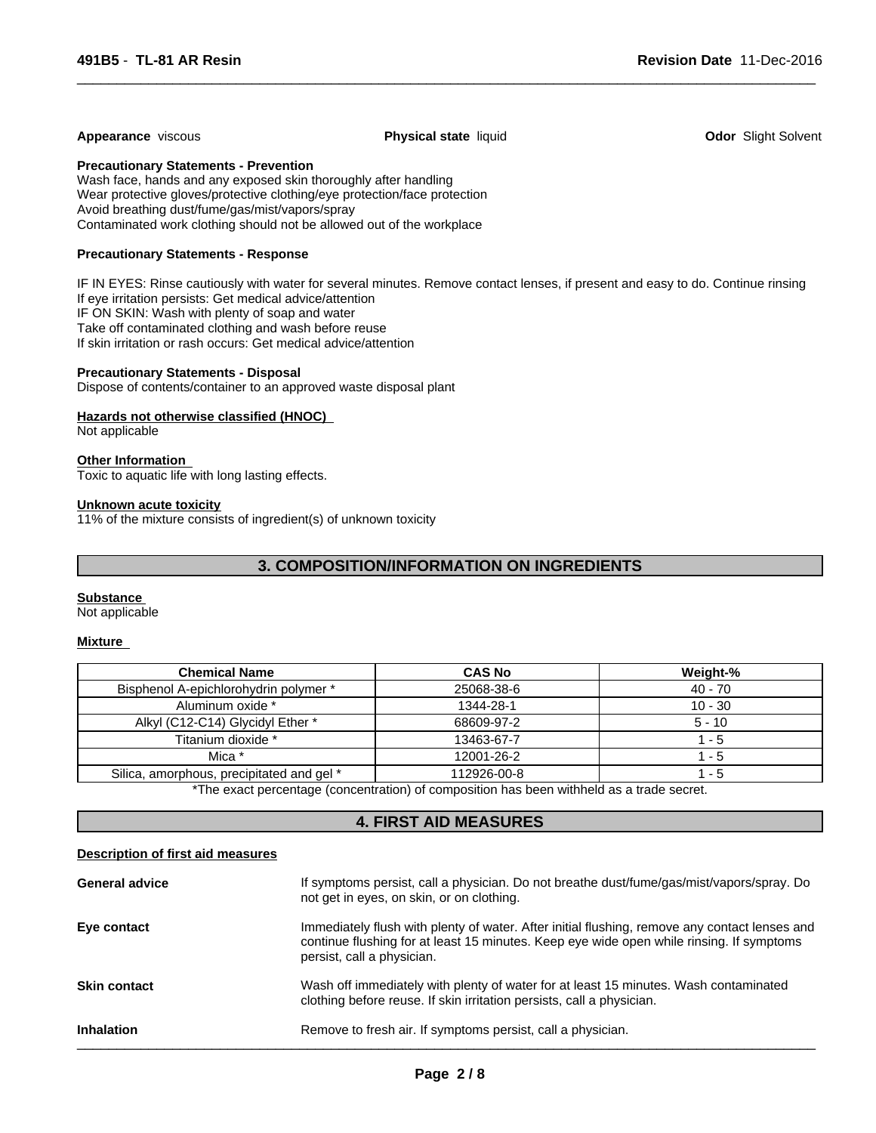#### **Appearance** viscous **Physical state** liquid **Odor** Slight Solvent

 $\overline{\phantom{a}}$  ,  $\overline{\phantom{a}}$  ,  $\overline{\phantom{a}}$  ,  $\overline{\phantom{a}}$  ,  $\overline{\phantom{a}}$  ,  $\overline{\phantom{a}}$  ,  $\overline{\phantom{a}}$  ,  $\overline{\phantom{a}}$  ,  $\overline{\phantom{a}}$  ,  $\overline{\phantom{a}}$  ,  $\overline{\phantom{a}}$  ,  $\overline{\phantom{a}}$  ,  $\overline{\phantom{a}}$  ,  $\overline{\phantom{a}}$  ,  $\overline{\phantom{a}}$  ,  $\overline{\phantom{a}}$ 

**Precautionary Statements - Prevention**

Wash face, hands and any exposed skin thoroughly after handling Wear protective gloves/protective clothing/eye protection/face protection Avoid breathing dust/fume/gas/mist/vapors/spray Contaminated work clothing should not be allowed out of the workplace

#### **Precautionary Statements - Response**

IF IN EYES: Rinse cautiously with water for several minutes. Remove contact lenses, if present and easy to do. Continue rinsing If eye irritation persists: Get medical advice/attention IF ON SKIN: Wash with plenty of soap and water Take off contaminated clothing and wash before reuse If skin irritation or rash occurs: Get medical advice/attention

#### **Precautionary Statements - Disposal**

Dispose of contents/container to an approved waste disposal plant

#### **Hazards not otherwise classified (HNOC)**

Not applicable

#### **Other Information**

Toxic to aquatic life with long lasting effects.

#### **Unknown acute toxicity**

11% of the mixture consists of ingredient(s) of unknown toxicity

# **3. COMPOSITION/INFORMATION ON INGREDIENTS**

#### **Substance**

Not applicable

#### **Mixture**

| <b>Chemical Name</b>                      | <b>CAS No</b> | Weight-%  |
|-------------------------------------------|---------------|-----------|
| Bisphenol A-epichlorohydrin polymer *     | 25068-38-6    | $40 - 70$ |
| Aluminum oxide *                          | 1344-28-1     | $10 - 30$ |
| Alkyl (C12-C14) Glycidyl Ether *          | 68609-97-2    | $5 - 10$  |
| Titanium dioxide *                        | 13463-67-7    | - 5       |
| Mica *                                    | 12001-26-2    | - 5       |
| Silica, amorphous, precipitated and gel * | 112926-00-8   | - 5       |

\*The exact percentage (concentration) of composition has been withheld as a trade secret.

# **4. FIRST AID MEASURES**

#### **Description of first aid measures**

| <b>General advice</b> | If symptoms persist, call a physician. Do not breathe dust/fume/gas/mist/vapors/spray. Do<br>not get in eyes, on skin, or on clothing.                                                                                  |
|-----------------------|-------------------------------------------------------------------------------------------------------------------------------------------------------------------------------------------------------------------------|
| Eye contact           | Immediately flush with plenty of water. After initial flushing, remove any contact lenses and<br>continue flushing for at least 15 minutes. Keep eye wide open while rinsing. If symptoms<br>persist, call a physician. |
| <b>Skin contact</b>   | Wash off immediately with plenty of water for at least 15 minutes. Wash contaminated<br>clothing before reuse. If skin irritation persists, call a physician.                                                           |
| <b>Inhalation</b>     | Remove to fresh air. If symptoms persist, call a physician.                                                                                                                                                             |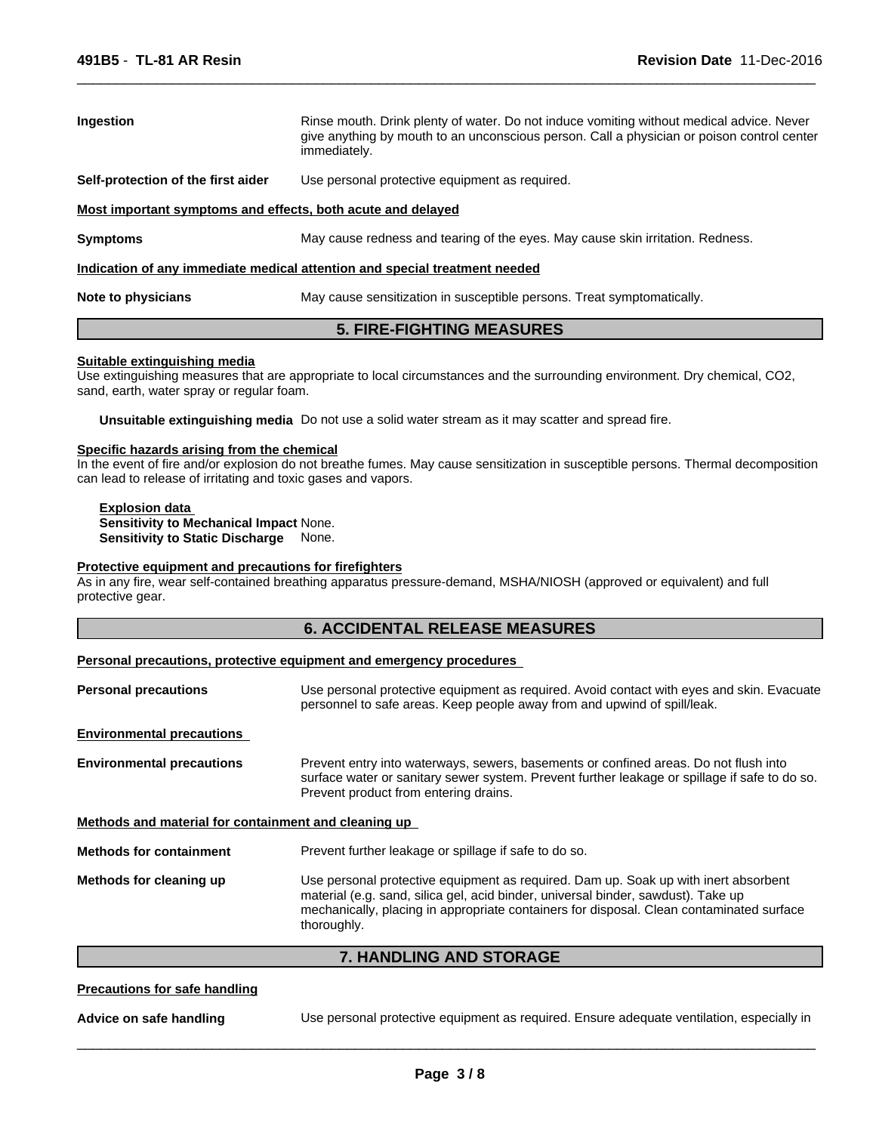| <b>Ingestion</b>                                                           | Rinse mouth. Drink plenty of water. Do not induce vomiting without medical advice. Never<br>give anything by mouth to an unconscious person. Call a physician or poison control center<br>immediately. |  |  |
|----------------------------------------------------------------------------|--------------------------------------------------------------------------------------------------------------------------------------------------------------------------------------------------------|--|--|
| Self-protection of the first aider                                         | Use personal protective equipment as required.                                                                                                                                                         |  |  |
| Most important symptoms and effects, both acute and delayed                |                                                                                                                                                                                                        |  |  |
| <b>Symptoms</b>                                                            | May cause redness and tearing of the eyes. May cause skin irritation. Redness.                                                                                                                         |  |  |
| Indication of any immediate medical attention and special treatment needed |                                                                                                                                                                                                        |  |  |
| Note to physicians                                                         | May cause sensitization in susceptible persons. Treat symptomatically.                                                                                                                                 |  |  |

 $\overline{\phantom{a}}$  ,  $\overline{\phantom{a}}$  ,  $\overline{\phantom{a}}$  ,  $\overline{\phantom{a}}$  ,  $\overline{\phantom{a}}$  ,  $\overline{\phantom{a}}$  ,  $\overline{\phantom{a}}$  ,  $\overline{\phantom{a}}$  ,  $\overline{\phantom{a}}$  ,  $\overline{\phantom{a}}$  ,  $\overline{\phantom{a}}$  ,  $\overline{\phantom{a}}$  ,  $\overline{\phantom{a}}$  ,  $\overline{\phantom{a}}$  ,  $\overline{\phantom{a}}$  ,  $\overline{\phantom{a}}$ 

# **5. FIRE-FIGHTING MEASURES**

#### **Suitable extinguishing media**

Use extinguishing measures that are appropriate to local circumstances and the surrounding environment. Dry chemical, CO2, sand, earth, water spray or regular foam.

**Unsuitable extinguishing media** Do not use a solid water stream as it may scatter and spread fire.

# **Specific hazards arising from the chemical**

In the event of fire and/or explosion do not breathe fumes. May cause sensitization in susceptible persons. Thermal decomposition can lead to release of irritating and toxic gases and vapors.

**Explosion data Sensitivity to Mechanical Impact** None. **Sensitivity to Static Discharge** None.

#### **Protective equipment and precautions for firefighters**

As in any fire, wear self-contained breathing apparatus pressure-demand, MSHA/NIOSH (approved or equivalent) and full protective gear.

# **6. ACCIDENTAL RELEASE MEASURES**

#### **Personal precautions, protective equipment and emergency procedures**

| <b>Personal precautions</b>                          | Use personal protective equipment as required. Avoid contact with eyes and skin. Evacuate<br>personnel to safe areas. Keep people away from and upwind of spill/leak.                                                                                                               |
|------------------------------------------------------|-------------------------------------------------------------------------------------------------------------------------------------------------------------------------------------------------------------------------------------------------------------------------------------|
| <b>Environmental precautions</b>                     |                                                                                                                                                                                                                                                                                     |
| <b>Environmental precautions</b>                     | Prevent entry into waterways, sewers, basements or confined areas. Do not flush into<br>surface water or sanitary sewer system. Prevent further leakage or spillage if safe to do so.<br>Prevent product from entering drains.                                                      |
| Methods and material for containment and cleaning up |                                                                                                                                                                                                                                                                                     |
| <b>Methods for containment</b>                       | Prevent further leakage or spillage if safe to do so.                                                                                                                                                                                                                               |
| Methods for cleaning up                              | Use personal protective equipment as required. Dam up. Soak up with inert absorbent<br>material (e.g. sand, silica gel, acid binder, universal binder, sawdust). Take up<br>mechanically, placing in appropriate containers for disposal. Clean contaminated surface<br>thoroughly. |

#### **7. HANDLING AND STORAGE**

#### **Precautions for safe handling**

**Advice on safe handling** Use personal protective equipment as required. Ensure adequate ventilation, especially in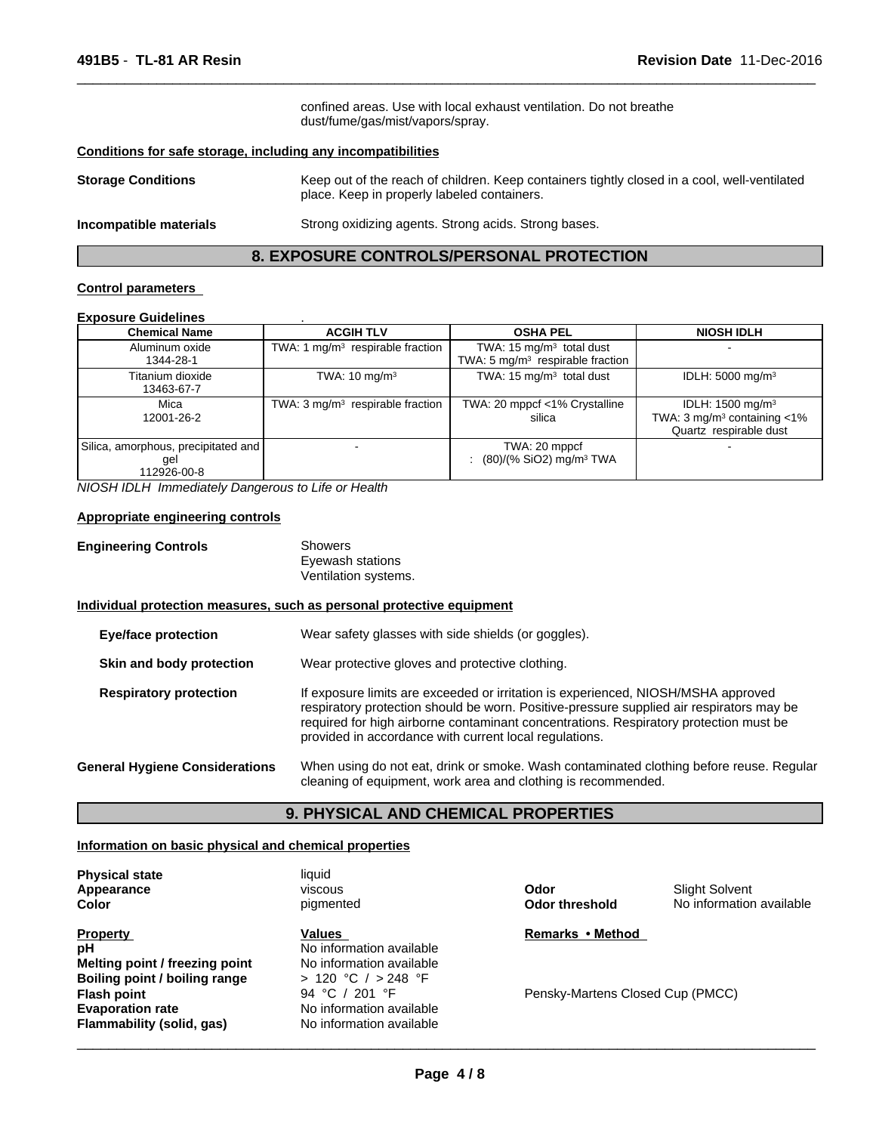confined areas. Use with local exhaust ventilation. Do not breathe dust/fume/gas/mist/vapors/spray.

 $\overline{\phantom{a}}$  ,  $\overline{\phantom{a}}$  ,  $\overline{\phantom{a}}$  ,  $\overline{\phantom{a}}$  ,  $\overline{\phantom{a}}$  ,  $\overline{\phantom{a}}$  ,  $\overline{\phantom{a}}$  ,  $\overline{\phantom{a}}$  ,  $\overline{\phantom{a}}$  ,  $\overline{\phantom{a}}$  ,  $\overline{\phantom{a}}$  ,  $\overline{\phantom{a}}$  ,  $\overline{\phantom{a}}$  ,  $\overline{\phantom{a}}$  ,  $\overline{\phantom{a}}$  ,  $\overline{\phantom{a}}$ 

#### **Conditions for safe storage, including any incompatibilities**

| <b>Storage Conditions</b> | Keep out of the reach of children. Keep containers tightly closed in a cool, well-ventilated<br>place. Keep in properly labeled containers. |
|---------------------------|---------------------------------------------------------------------------------------------------------------------------------------------|
| Incompatible materials    | Strong oxidizing agents. Strong acids. Strong bases.                                                                                        |

# **8. EXPOSURE CONTROLS/PERSONAL PROTECTION**

#### **Control parameters**

# **Exposure Guidelines** .

| <b>Chemical Name</b>                                       | <b>ACGIH TLV</b>                            | <b>OSHA PEL</b>                                                           | <b>NIOSH IDLH</b>                                                                                     |
|------------------------------------------------------------|---------------------------------------------|---------------------------------------------------------------------------|-------------------------------------------------------------------------------------------------------|
| Aluminum oxide<br>1344-28-1                                | TWA: 1 $mq/m3$ respirable fraction          | TWA: $15 \text{ mg/m}^3$ total dust<br>TWA: 5 $mg/m3$ respirable fraction |                                                                                                       |
| Titanium dioxide<br>13463-67-7                             | TWA: $10 \text{ mg/m}^3$                    | TWA: $15 \text{ mg/m}^3$ total dust                                       | IDLH: $5000 \text{ mg/m}^3$                                                                           |
| Mica<br>12001-26-2                                         | TWA: $3 \text{ mg/m}^3$ respirable fraction | TWA: 20 mppcf <1% Crystalline<br>silica                                   | IDLH: $1500 \text{ mg/m}^3$<br>TWA: $3 \text{ mg/m}^3$ containing $\lt 1\%$<br>Quartz respirable dust |
| Silica, amorphous, precipitated and  <br>gel<br>12926-00-8 |                                             | TWA: 20 mppcf<br>$(80)/(%$ SiO2) mg/m <sup>3</sup> TWA                    |                                                                                                       |

*NIOSH IDLH Immediately Dangerous to Life or Health*

#### **Appropriate engineering controls**

| <b>Engineering Controls</b> | Showers              |
|-----------------------------|----------------------|
|                             | Eyewash stations     |
|                             | Ventilation systems. |

### **Individual protection measures, such as personal protective equipment**

| <b>Eye/face protection</b>            | Wear safety glasses with side shields (or goggles).                                                                                                                                                                                                                                                                              |  |
|---------------------------------------|----------------------------------------------------------------------------------------------------------------------------------------------------------------------------------------------------------------------------------------------------------------------------------------------------------------------------------|--|
| Skin and body protection              | Wear protective gloves and protective clothing.                                                                                                                                                                                                                                                                                  |  |
| <b>Respiratory protection</b>         | If exposure limits are exceeded or irritation is experienced, NIOSH/MSHA approved<br>respiratory protection should be worn. Positive-pressure supplied air respirators may be<br>required for high airborne contaminant concentrations. Respiratory protection must be<br>provided in accordance with current local regulations. |  |
| <b>General Hygiene Considerations</b> | When using do not eat, drink or smoke. Wash contaminated clothing before reuse. Regular<br>cleaning of equipment, work area and clothing is recommended.                                                                                                                                                                         |  |

### **9. PHYSICAL AND CHEMICAL PROPERTIES**

#### **Information on basic physical and chemical properties**

| <b>Physical state</b>          | liauid                   |                                  |                          |
|--------------------------------|--------------------------|----------------------------------|--------------------------|
| Appearance                     | viscous                  | Odor                             | <b>Slight Solvent</b>    |
| Color                          | pigmented                | <b>Odor threshold</b>            | No information available |
| <b>Property</b>                | <b>Values</b>            | Remarks • Method                 |                          |
| рH                             | No information available |                                  |                          |
| Melting point / freezing point | No information available |                                  |                          |
| Boiling point / boiling range  | > 120 °C / > 248 °F      |                                  |                          |
| <b>Flash point</b>             | 94 °C / 201 °F           | Pensky-Martens Closed Cup (PMCC) |                          |
| <b>Evaporation rate</b>        | No information available |                                  |                          |
| Flammability (solid, gas)      | No information available |                                  |                          |

 $\overline{\phantom{a}}$  ,  $\overline{\phantom{a}}$  ,  $\overline{\phantom{a}}$  ,  $\overline{\phantom{a}}$  ,  $\overline{\phantom{a}}$  ,  $\overline{\phantom{a}}$  ,  $\overline{\phantom{a}}$  ,  $\overline{\phantom{a}}$  ,  $\overline{\phantom{a}}$  ,  $\overline{\phantom{a}}$  ,  $\overline{\phantom{a}}$  ,  $\overline{\phantom{a}}$  ,  $\overline{\phantom{a}}$  ,  $\overline{\phantom{a}}$  ,  $\overline{\phantom{a}}$  ,  $\overline{\phantom{a}}$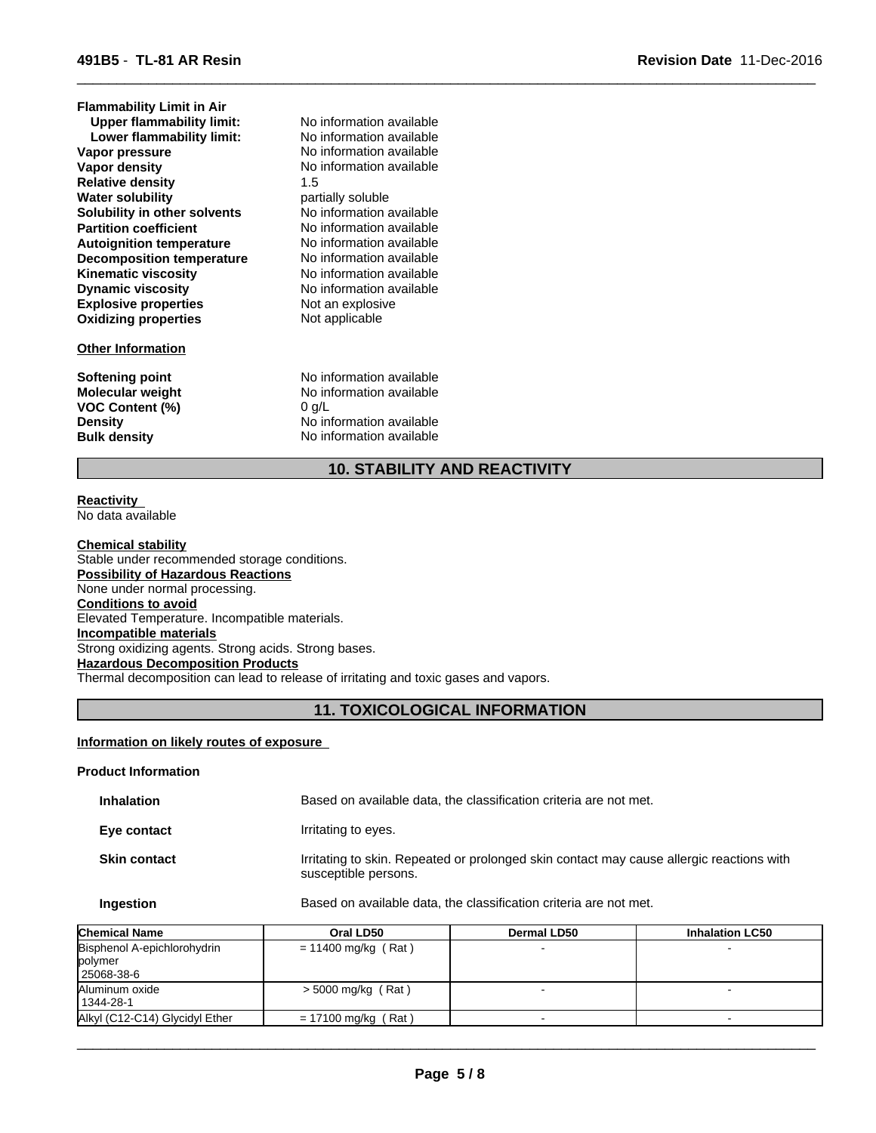| <b>Flammability Limit in Air</b> |                          |
|----------------------------------|--------------------------|
| <b>Upper flammability limit:</b> | No information available |
| Lower flammability limit:        | No information available |
| Vapor pressure                   | No information available |
| Vapor density                    | No information available |
| <b>Relative density</b>          | 1.5                      |
| <b>Water solubility</b>          | partially soluble        |
| Solubility in other solvents     | No information available |
| <b>Partition coefficient</b>     | No information available |
| <b>Autoignition temperature</b>  | No information available |
| <b>Decomposition temperature</b> | No information available |
| <b>Kinematic viscosity</b>       | No information available |
| <b>Dynamic viscosity</b>         | No information available |
| <b>Explosive properties</b>      | Not an explosive         |
| <b>Oxidizing properties</b>      | Not applicable           |
| <b>Other Information</b>         |                          |
| Softening point                  | No information available |
| <b>Molecular weight</b>          | No information available |
| <b>VOC Content (%)</b>           | 0 q/L                    |
| <b>Density</b>                   | No information available |
| <b>Bulk density</b>              | No information available |
|                                  |                          |

# **10. STABILITY AND REACTIVITY**

 $\overline{\phantom{a}}$  ,  $\overline{\phantom{a}}$  ,  $\overline{\phantom{a}}$  ,  $\overline{\phantom{a}}$  ,  $\overline{\phantom{a}}$  ,  $\overline{\phantom{a}}$  ,  $\overline{\phantom{a}}$  ,  $\overline{\phantom{a}}$  ,  $\overline{\phantom{a}}$  ,  $\overline{\phantom{a}}$  ,  $\overline{\phantom{a}}$  ,  $\overline{\phantom{a}}$  ,  $\overline{\phantom{a}}$  ,  $\overline{\phantom{a}}$  ,  $\overline{\phantom{a}}$  ,  $\overline{\phantom{a}}$ 

#### **Reactivity**  No data available

**Chemical stability** Stable under recommended storage conditions. **Possibility of Hazardous Reactions** None under normal processing. **Conditions to avoid** Elevated Temperature. Incompatible materials. **Incompatible materials** Strong oxidizing agents. Strong acids. Strong bases. **Hazardous Decomposition Products** Thermal decomposition can lead to release of irritating and toxic gases and vapors.

# **11. TOXICOLOGICAL INFORMATION**

# **Information on likely routes of exposure**

### **Product Information**

| <b>Inhalation</b>   | Based on available data, the classification criteria are not met.                                                |
|---------------------|------------------------------------------------------------------------------------------------------------------|
| Eye contact         | Irritating to eyes.                                                                                              |
| <b>Skin contact</b> | Irritating to skin. Repeated or prolonged skin contact may cause allergic reactions with<br>susceptible persons. |

# **Ingestion** Based on available data, the classification criteria are not met.

| <b>Chemical Name</b>           | Oral LD50                  | <b>Dermal LD50</b> | <b>Inhalation LC50</b> |
|--------------------------------|----------------------------|--------------------|------------------------|
| Bisphenol A-epichlorohydrin    | $= 11400$ mg/kg (Rat)      |                    |                        |
| polymer                        |                            |                    |                        |
| 25068-38-6                     |                            |                    |                        |
| Aluminum oxide                 | $>$ 5000 mg/kg (Rat)       |                    |                        |
| 1344-28-1                      |                            |                    |                        |
| Alkyl (C12-C14) Glycidyl Ether | (Rat)<br>$= 17100$ mg/kg ( |                    |                        |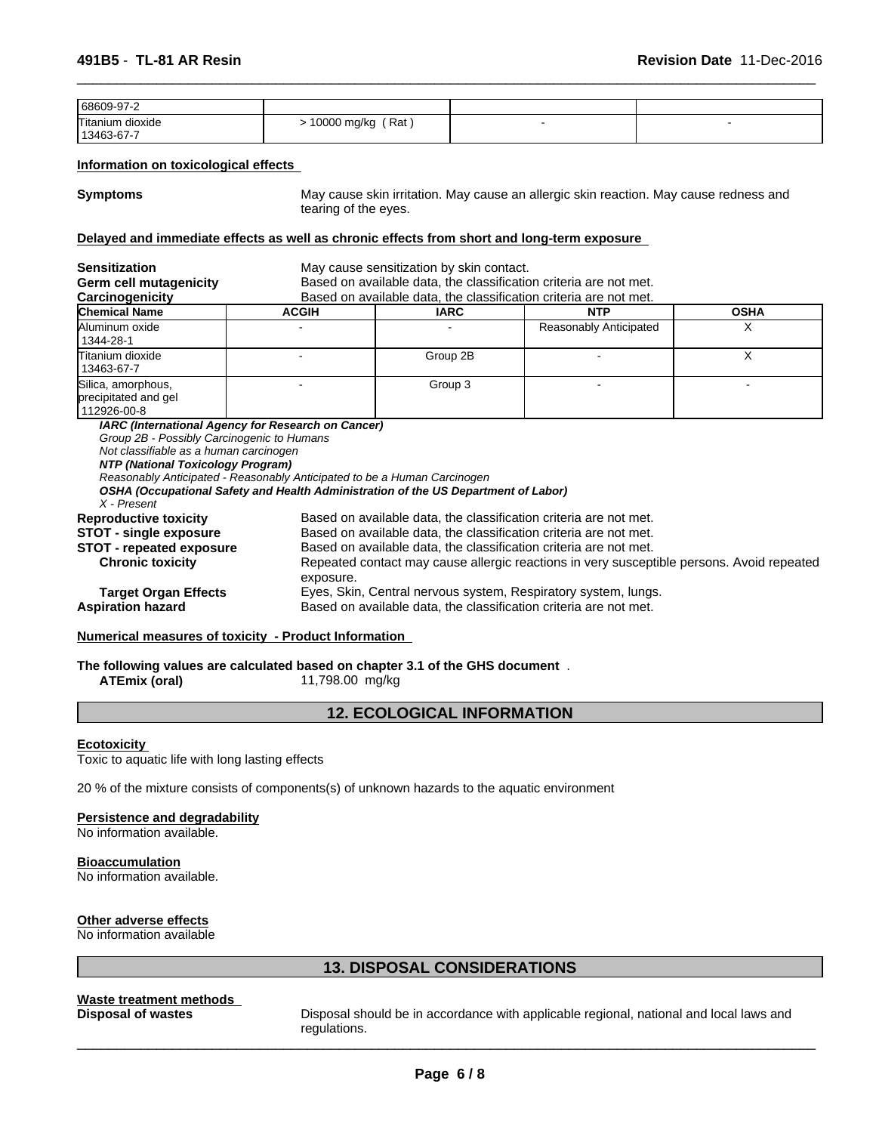| 68609-97-2                                                                                                                               |                                                                                                                                                                                                                                                                                                                       |                                                                   |                        |             |  |
|------------------------------------------------------------------------------------------------------------------------------------------|-----------------------------------------------------------------------------------------------------------------------------------------------------------------------------------------------------------------------------------------------------------------------------------------------------------------------|-------------------------------------------------------------------|------------------------|-------------|--|
| Titanium dioxide<br>13463-67-7                                                                                                           | $> 10000$ mg/kg (Rat)                                                                                                                                                                                                                                                                                                 |                                                                   |                        |             |  |
| Information on toxicological effects                                                                                                     |                                                                                                                                                                                                                                                                                                                       |                                                                   |                        |             |  |
| <b>Symptoms</b>                                                                                                                          | May cause skin irritation. May cause an allergic skin reaction. May cause redness and<br>tearing of the eyes.                                                                                                                                                                                                         |                                                                   |                        |             |  |
| Delayed and immediate effects as well as chronic effects from short and long-term exposure                                               |                                                                                                                                                                                                                                                                                                                       |                                                                   |                        |             |  |
| <b>Sensitization</b><br>Germ cell mutagenicity                                                                                           | May cause sensitization by skin contact.<br>Based on available data, the classification criteria are not met.                                                                                                                                                                                                         |                                                                   |                        |             |  |
| Carcinogenicity                                                                                                                          |                                                                                                                                                                                                                                                                                                                       | Based on available data, the classification criteria are not met. |                        |             |  |
| Chemical Name                                                                                                                            | <b>ACGIH</b>                                                                                                                                                                                                                                                                                                          | <b>IARC</b>                                                       | <b>NTP</b>             | <b>OSHA</b> |  |
| Aluminum oxide<br>1344-28-1                                                                                                              |                                                                                                                                                                                                                                                                                                                       |                                                                   | Reasonably Anticipated | X           |  |
| Titanium dioxide<br>13463-67-7                                                                                                           |                                                                                                                                                                                                                                                                                                                       | Group 2B                                                          |                        | $\times$    |  |
| Silica, amorphous,<br>precipitated and gel<br>112926-00-8                                                                                |                                                                                                                                                                                                                                                                                                                       | Group 3                                                           |                        |             |  |
| Group 2B - Possibly Carcinogenic to Humans<br>Not classifiable as a human carcinogen<br>NTP (National Toxicology Program)<br>X - Present | IARC (International Agency for Research on Cancer)<br>Reasonably Anticipated - Reasonably Anticipated to be a Human Carcinogen<br>OSHA (Occupational Safety and Health Administration of the US Department of Labor)                                                                                                  |                                                                   |                        |             |  |
| <b>Reproductive toxicity</b><br><b>STOT - single exposure</b><br><b>STOT - repeated exposure</b><br><b>Chronic toxicity</b>              | Based on available data, the classification criteria are not met.<br>Based on available data, the classification criteria are not met.<br>Based on available data, the classification criteria are not met.<br>Repeated contact may cause allergic reactions in very susceptible persons. Avoid repeated<br>exposure. |                                                                   |                        |             |  |
| <b>Target Organ Effects</b><br><b>Aspiration hazard</b>                                                                                  | Eyes, Skin, Central nervous system, Respiratory system, lungs.<br>Based on available data, the classification criteria are not met.                                                                                                                                                                                   |                                                                   |                        |             |  |

 $\overline{\phantom{a}}$  ,  $\overline{\phantom{a}}$  ,  $\overline{\phantom{a}}$  ,  $\overline{\phantom{a}}$  ,  $\overline{\phantom{a}}$  ,  $\overline{\phantom{a}}$  ,  $\overline{\phantom{a}}$  ,  $\overline{\phantom{a}}$  ,  $\overline{\phantom{a}}$  ,  $\overline{\phantom{a}}$  ,  $\overline{\phantom{a}}$  ,  $\overline{\phantom{a}}$  ,  $\overline{\phantom{a}}$  ,  $\overline{\phantom{a}}$  ,  $\overline{\phantom{a}}$  ,  $\overline{\phantom{a}}$ 

# **Numerical measures of toxicity - Product Information**

**The following values are calculated based on chapter 3.1 of the GHS document** . **ATEmix (oral)** 11,798.00 mg/kg

# **12. ECOLOGICAL INFORMATION**

#### **Ecotoxicity**

Toxic to aquatic life with long lasting effects

20 % of the mixture consists of components(s) of unknown hazards to the aquatic environment

#### **Persistence and degradability**

No information available.

#### **Bioaccumulation** No information available.

**Other adverse effects**

No information available

# **13. DISPOSAL CONSIDERATIONS**

**Waste treatment methods** 

Disposal should be in accordance with applicable regional, national and local laws and regulations.

 $\_$  ,  $\_$  ,  $\_$  ,  $\_$  ,  $\_$  ,  $\_$  ,  $\_$  ,  $\_$  ,  $\_$  ,  $\_$  ,  $\_$  ,  $\_$  ,  $\_$  ,  $\_$  ,  $\_$  ,  $\_$  ,  $\_$  ,  $\_$  ,  $\_$  ,  $\_$  ,  $\_$  ,  $\_$  ,  $\_$  ,  $\_$  ,  $\_$  ,  $\_$  ,  $\_$  ,  $\_$  ,  $\_$  ,  $\_$  ,  $\_$  ,  $\_$  ,  $\_$  ,  $\_$  ,  $\_$  ,  $\_$  ,  $\_$  ,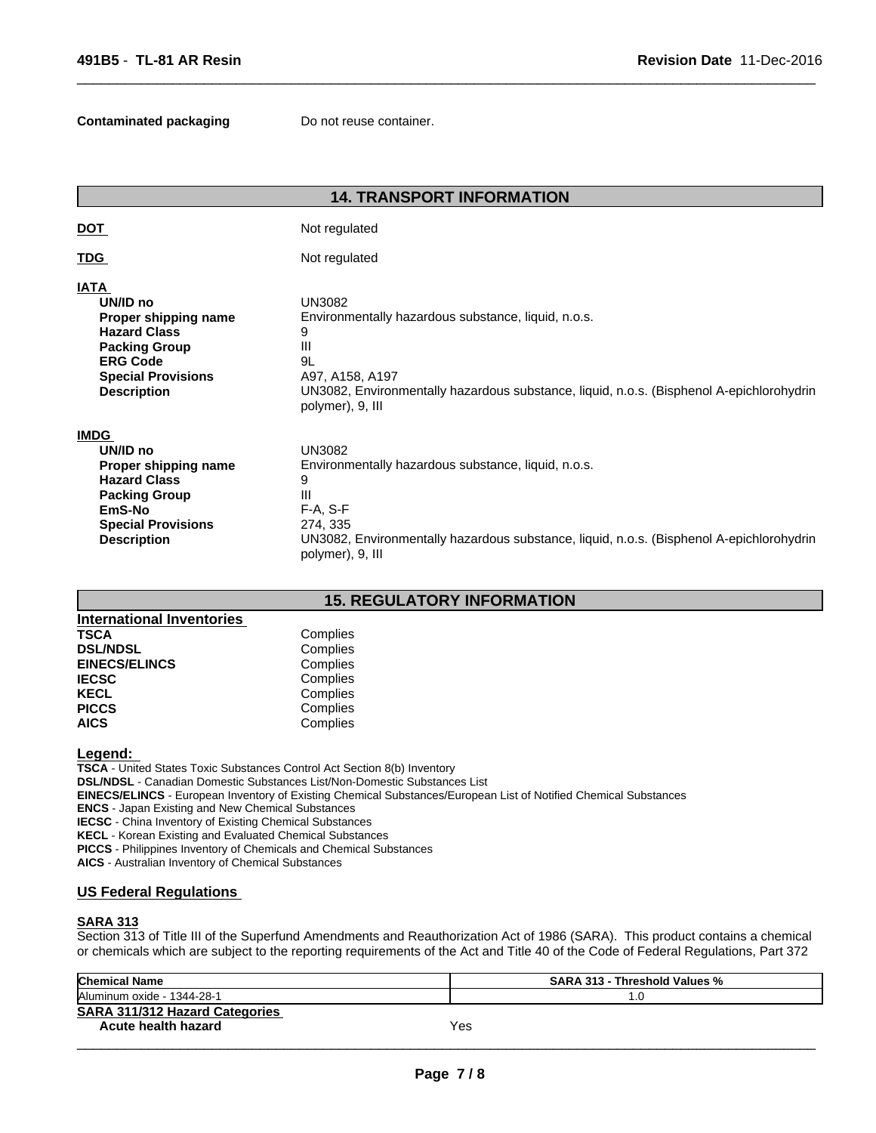#### **Contaminated packaging Do not reuse container.**

|                                                                                                                                                                      | <b>14. TRANSPORT INFORMATION</b>                                                                                                                                                                                         |
|----------------------------------------------------------------------------------------------------------------------------------------------------------------------|--------------------------------------------------------------------------------------------------------------------------------------------------------------------------------------------------------------------------|
| <u>DOT</u>                                                                                                                                                           | Not regulated                                                                                                                                                                                                            |
| <b>TDG</b>                                                                                                                                                           | Not regulated                                                                                                                                                                                                            |
| <b>IATA</b><br>UN/ID no<br>Proper shipping name<br><b>Hazard Class</b><br><b>Packing Group</b><br><b>ERG Code</b><br><b>Special Provisions</b><br><b>Description</b> | <b>UN3082</b><br>Environmentally hazardous substance, liquid, n.o.s.<br>9<br>Ш<br>9L<br>A97, A158, A197<br>UN3082, Environmentally hazardous substance, liquid, n.o.s. (Bisphenol A-epichlorohydrin<br>polymer), 9, III  |
| <b>IMDG</b><br>UN/ID no<br>Proper shipping name<br><b>Hazard Class</b><br><b>Packing Group</b><br>EmS-No<br><b>Special Provisions</b><br><b>Description</b>          | <b>UN3082</b><br>Environmentally hazardous substance, liquid, n.o.s.<br>9<br>III<br>F-A, S-F<br>274, 335<br>UN3082, Environmentally hazardous substance, liquid, n.o.s. (Bisphenol A-epichlorohydrin<br>polymer), 9, III |
|                                                                                                                                                                      | <b>15 DECIJI ATODY INEODMATION</b>                                                                                                                                                                                       |

 $\overline{\phantom{a}}$  ,  $\overline{\phantom{a}}$  ,  $\overline{\phantom{a}}$  ,  $\overline{\phantom{a}}$  ,  $\overline{\phantom{a}}$  ,  $\overline{\phantom{a}}$  ,  $\overline{\phantom{a}}$  ,  $\overline{\phantom{a}}$  ,  $\overline{\phantom{a}}$  ,  $\overline{\phantom{a}}$  ,  $\overline{\phantom{a}}$  ,  $\overline{\phantom{a}}$  ,  $\overline{\phantom{a}}$  ,  $\overline{\phantom{a}}$  ,  $\overline{\phantom{a}}$  ,  $\overline{\phantom{a}}$ 

# **15. REGULATORY INFORMATION**

| <b>International Inventories</b> |          |
|----------------------------------|----------|
| <b>TSCA</b>                      | Complies |
| <b>DSL/NDSL</b>                  | Complies |
| <b>EINECS/ELINCS</b>             | Complies |
| <b>IECSC</b>                     | Complies |
| <b>KECL</b>                      | Complies |
| <b>PICCS</b>                     | Complies |
| <b>AICS</b>                      | Complies |

#### **Legend:**

**TSCA** - United States Toxic Substances Control Act Section 8(b) Inventory **DSL/NDSL** - Canadian Domestic Substances List/Non-Domestic Substances List **EINECS/ELINCS** - European Inventory of Existing Chemical Substances/European List of Notified Chemical Substances **ENCS** - Japan Existing and New Chemical Substances **IECSC** - China Inventory of Existing Chemical Substances **KECL** - Korean Existing and Evaluated Chemical Substances **PICCS** - Philippines Inventory of Chemicals and Chemical Substances **AICS** - Australian Inventory of Chemical Substances

# **US Federal Regulations**

#### **SARA 313**

Section 313 of Title III of the Superfund Amendments and Reauthorization Act of 1986 (SARA). This product contains a chemical or chemicals which are subject to the reporting requirements of the Act and Title 40 of the Code of Federal Regulations, Part 372

| <b>Chemical Name</b>                  | <b>SARA 313 - Threshold Values %</b> |
|---------------------------------------|--------------------------------------|
| Aluminum oxide - 1344-28-1            | . .U                                 |
| <b>SARA 311/312 Hazard Categories</b> |                                      |
| Acute health hazard                   | Yes                                  |